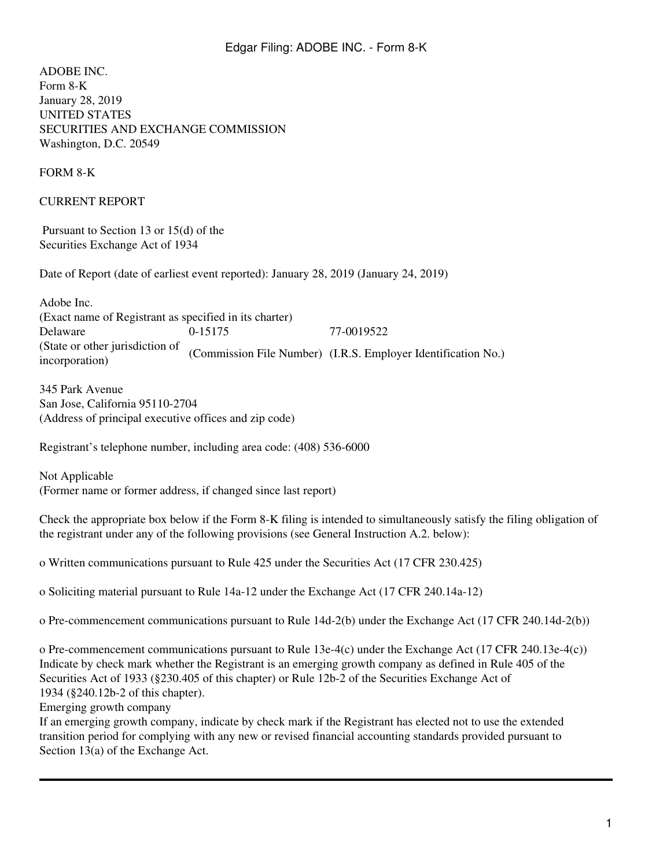ADOBE INC. Form 8-K January 28, 2019 UNITED STATES SECURITIES AND EXCHANGE COMMISSION Washington, D.C. 20549

FORM 8-K

CURRENT REPORT

 Pursuant to Section 13 or 15(d) of the Securities Exchange Act of 1934

Date of Report (date of earliest event reported): January 28, 2019 (January 24, 2019)

Adobe Inc. (Exact name of Registrant as specified in its charter) Delaware 0-15175 77-0019522 (State or other jurisdiction of (State of other Juristication of (Commission File Number) (I.R.S. Employer Identification No.) incorporation)

345 Park Avenue San Jose, California 95110-2704 (Address of principal executive offices and zip code)

Registrant's telephone number, including area code: (408) 536-6000

Not Applicable (Former name or former address, if changed since last report)

Check the appropriate box below if the Form 8-K filing is intended to simultaneously satisfy the filing obligation of the registrant under any of the following provisions (see General Instruction A.2. below):

o Written communications pursuant to Rule 425 under the Securities Act (17 CFR 230.425)

o Soliciting material pursuant to Rule 14a-12 under the Exchange Act (17 CFR 240.14a-12)

o Pre-commencement communications pursuant to Rule 14d-2(b) under the Exchange Act (17 CFR 240.14d-2(b))

o Pre-commencement communications pursuant to Rule 13e-4(c) under the Exchange Act (17 CFR 240.13e-4(c)) Indicate by check mark whether the Registrant is an emerging growth company as defined in Rule 405 of the Securities Act of 1933 (§230.405 of this chapter) or Rule 12b-2 of the Securities Exchange Act of 1934 (§240.12b-2 of this chapter).

Emerging growth company

If an emerging growth company, indicate by check mark if the Registrant has elected not to use the extended transition period for complying with any new or revised financial accounting standards provided pursuant to Section  $13(a)$  of the Exchange Act.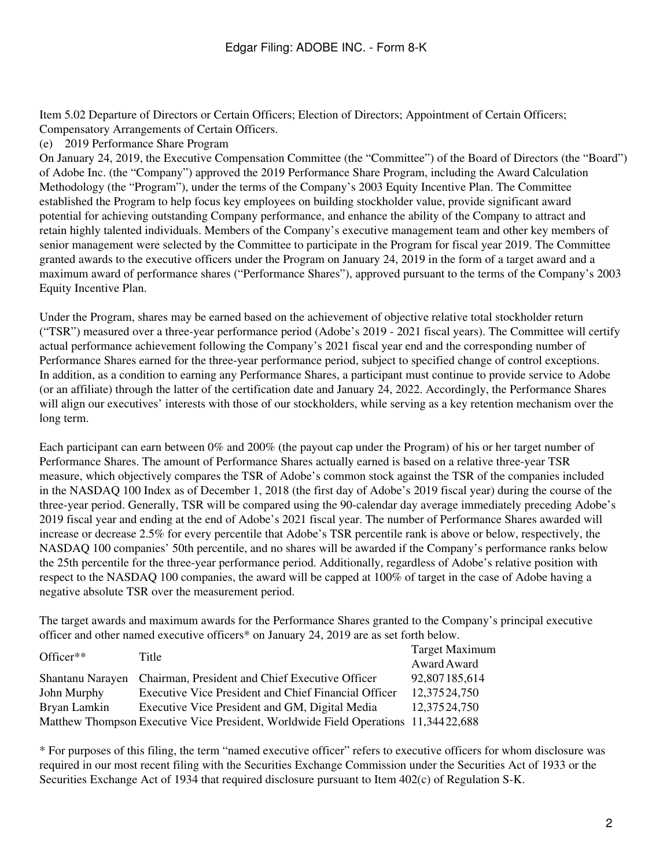Item 5.02 Departure of Directors or Certain Officers; Election of Directors; Appointment of Certain Officers; Compensatory Arrangements of Certain Officers.

(e) 2019 Performance Share Program

On January 24, 2019, the Executive Compensation Committee (the "Committee") of the Board of Directors (the "Board") of Adobe Inc. (the "Company") approved the 2019 Performance Share Program, including the Award Calculation Methodology (the "Program"), under the terms of the Company's 2003 Equity Incentive Plan. The Committee established the Program to help focus key employees on building stockholder value, provide significant award potential for achieving outstanding Company performance, and enhance the ability of the Company to attract and retain highly talented individuals. Members of the Company's executive management team and other key members of senior management were selected by the Committee to participate in the Program for fiscal year 2019. The Committee granted awards to the executive officers under the Program on January 24, 2019 in the form of a target award and a maximum award of performance shares ("Performance Shares"), approved pursuant to the terms of the Company's 2003 Equity Incentive Plan.

Under the Program, shares may be earned based on the achievement of objective relative total stockholder return ("TSR") measured over a three-year performance period (Adobe's 2019 - 2021 fiscal years). The Committee will certify actual performance achievement following the Company's 2021 fiscal year end and the corresponding number of Performance Shares earned for the three-year performance period, subject to specified change of control exceptions. In addition, as a condition to earning any Performance Shares, a participant must continue to provide service to Adobe (or an affiliate) through the latter of the certification date and January 24, 2022. Accordingly, the Performance Shares will align our executives' interests with those of our stockholders, while serving as a key retention mechanism over the long term.

Each participant can earn between 0% and 200% (the payout cap under the Program) of his or her target number of Performance Shares. The amount of Performance Shares actually earned is based on a relative three-year TSR measure, which objectively compares the TSR of Adobe's common stock against the TSR of the companies included in the NASDAQ 100 Index as of December 1, 2018 (the first day of Adobe's 2019 fiscal year) during the course of the three-year period. Generally, TSR will be compared using the 90-calendar day average immediately preceding Adobe's 2019 fiscal year and ending at the end of Adobe's 2021 fiscal year. The number of Performance Shares awarded will increase or decrease 2.5% for every percentile that Adobe's TSR percentile rank is above or below, respectively, the NASDAQ 100 companies' 50th percentile, and no shares will be awarded if the Company's performance ranks below the 25th percentile for the three-year performance period. Additionally, regardless of Adobe's relative position with respect to the NASDAQ 100 companies, the award will be capped at 100% of target in the case of Adobe having a negative absolute TSR over the measurement period.

The target awards and maximum awards for the Performance Shares granted to the Company's principal executive officer and other named executive officers\* on January 24, 2019 are as set forth below.

| Officer $**$ | Title                                                                              | <b>Target Maximum</b> |  |  |
|--------------|------------------------------------------------------------------------------------|-----------------------|--|--|
|              |                                                                                    | Award Award           |  |  |
|              | Shantanu Narayen Chairman, President and Chief Executive Officer                   | 92,807185,614         |  |  |
| John Murphy  | <b>Executive Vice President and Chief Financial Officer</b>                        | 12,37524,750          |  |  |
| Bryan Lamkin | Executive Vice President and GM, Digital Media                                     | 12,37524,750          |  |  |
|              | Matthew Thompson Executive Vice President, Worldwide Field Operations 11,34422,688 |                       |  |  |

\* For purposes of this filing, the term "named executive officer" refers to executive officers for whom disclosure was required in our most recent filing with the Securities Exchange Commission under the Securities Act of 1933 or the Securities Exchange Act of 1934 that required disclosure pursuant to Item 402(c) of Regulation S-K.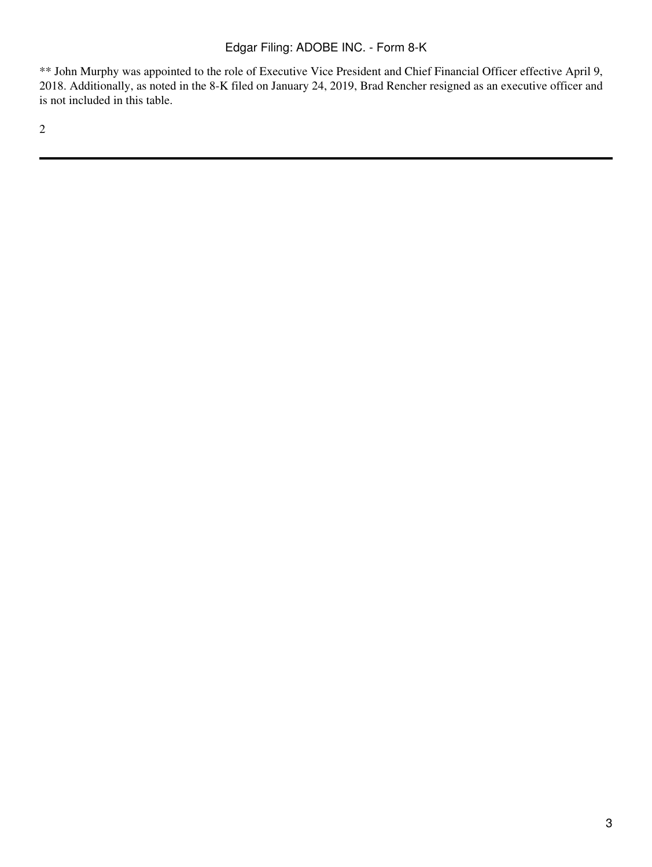\*\* John Murphy was appointed to the role of Executive Vice President and Chief Financial Officer effective April 9, 2018. Additionally, as noted in the 8-K filed on January 24, 2019, Brad Rencher resigned as an executive officer and is not included in this table.

2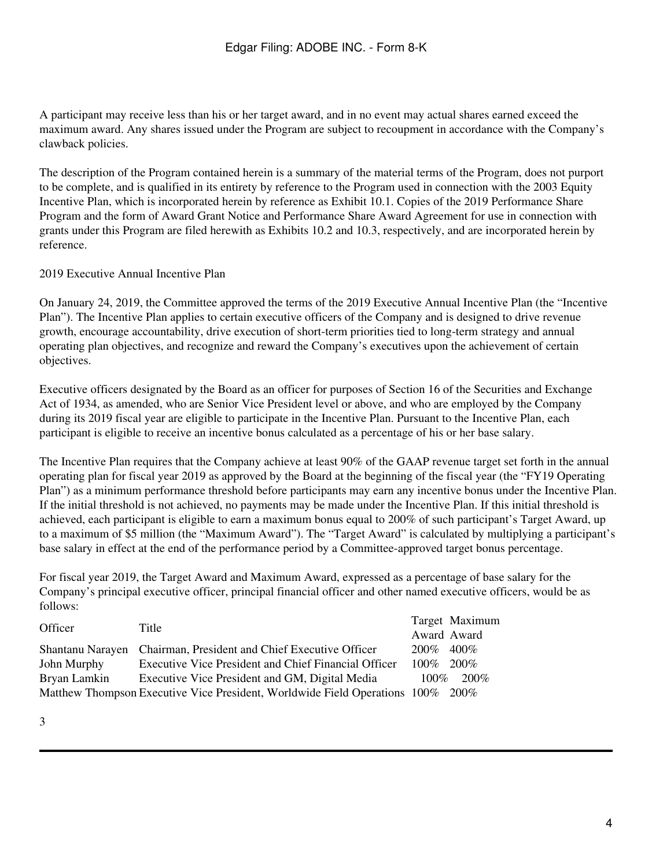A participant may receive less than his or her target award, and in no event may actual shares earned exceed the maximum award. Any shares issued under the Program are subject to recoupment in accordance with the Company's clawback policies.

The description of the Program contained herein is a summary of the material terms of the Program, does not purport to be complete, and is qualified in its entirety by reference to the Program used in connection with the 2003 Equity Incentive Plan, which is incorporated herein by reference as Exhibit 10.1. Copies of the 2019 Performance Share Program and the form of Award Grant Notice and Performance Share Award Agreement for use in connection with grants under this Program are filed herewith as Exhibits 10.2 and 10.3, respectively, and are incorporated herein by reference.

## 2019 Executive Annual Incentive Plan

On January 24, 2019, the Committee approved the terms of the 2019 Executive Annual Incentive Plan (the "Incentive Plan"). The Incentive Plan applies to certain executive officers of the Company and is designed to drive revenue growth, encourage accountability, drive execution of short-term priorities tied to long-term strategy and annual operating plan objectives, and recognize and reward the Company's executives upon the achievement of certain objectives.

Executive officers designated by the Board as an officer for purposes of Section 16 of the Securities and Exchange Act of 1934, as amended, who are Senior Vice President level or above, and who are employed by the Company during its 2019 fiscal year are eligible to participate in the Incentive Plan. Pursuant to the Incentive Plan, each participant is eligible to receive an incentive bonus calculated as a percentage of his or her base salary.

The Incentive Plan requires that the Company achieve at least 90% of the GAAP revenue target set forth in the annual operating plan for fiscal year 2019 as approved by the Board at the beginning of the fiscal year (the "FY19 Operating Plan") as a minimum performance threshold before participants may earn any incentive bonus under the Incentive Plan. If the initial threshold is not achieved, no payments may be made under the Incentive Plan. If this initial threshold is achieved, each participant is eligible to earn a maximum bonus equal to 200% of such participant's Target Award, up to a maximum of \$5 million (the "Maximum Award"). The "Target Award" is calculated by multiplying a participant's base salary in effect at the end of the performance period by a Committee-approved target bonus percentage.

For fiscal year 2019, the Target Award and Maximum Award, expressed as a percentage of base salary for the Company's principal executive officer, principal financial officer and other named executive officers, would be as follows:

| Officer      | Title                                                                           |         | Target Maximum |
|--------------|---------------------------------------------------------------------------------|---------|----------------|
|              |                                                                                 |         | Award Award    |
|              | Shantanu Narayen Chairman, President and Chief Executive Officer                | 200%    | $400\%$        |
| John Murphy  | <b>Executive Vice President and Chief Financial Officer</b>                     | $100\%$ | 200%           |
| Bryan Lamkin | Executive Vice President and GM, Digital Media                                  | $100\%$ | 200%           |
|              | Matthew Thompson Executive Vice President, Worldwide Field Operations 100% 200% |         |                |

3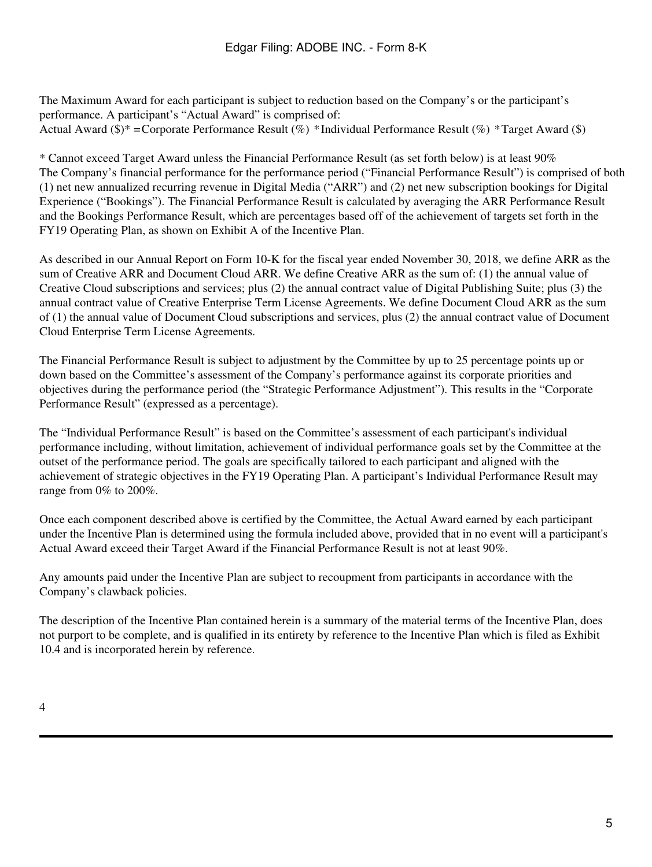The Maximum Award for each participant is subject to reduction based on the Company's or the participant's performance. A participant's "Actual Award" is comprised of: Actual Award (\$)\* = Corporate Performance Result (%) \*Individual Performance Result (%) \*Target Award (\$)

\* Cannot exceed Target Award unless the Financial Performance Result (as set forth below) is at least 90% The Company's financial performance for the performance period ("Financial Performance Result") is comprised of both (1) net new annualized recurring revenue in Digital Media ("ARR") and (2) net new subscription bookings for Digital Experience ("Bookings"). The Financial Performance Result is calculated by averaging the ARR Performance Result and the Bookings Performance Result, which are percentages based off of the achievement of targets set forth in the FY19 Operating Plan, as shown on Exhibit A of the Incentive Plan.

As described in our Annual Report on Form 10-K for the fiscal year ended November 30, 2018, we define ARR as the sum of Creative ARR and Document Cloud ARR. We define Creative ARR as the sum of: (1) the annual value of Creative Cloud subscriptions and services; plus (2) the annual contract value of Digital Publishing Suite; plus (3) the annual contract value of Creative Enterprise Term License Agreements. We define Document Cloud ARR as the sum of (1) the annual value of Document Cloud subscriptions and services, plus (2) the annual contract value of Document Cloud Enterprise Term License Agreements.

The Financial Performance Result is subject to adjustment by the Committee by up to 25 percentage points up or down based on the Committee's assessment of the Company's performance against its corporate priorities and objectives during the performance period (the "Strategic Performance Adjustment"). This results in the "Corporate Performance Result" (expressed as a percentage).

The "Individual Performance Result" is based on the Committee's assessment of each participant's individual performance including, without limitation, achievement of individual performance goals set by the Committee at the outset of the performance period. The goals are specifically tailored to each participant and aligned with the achievement of strategic objectives in the FY19 Operating Plan. A participant's Individual Performance Result may range from 0% to 200%.

Once each component described above is certified by the Committee, the Actual Award earned by each participant under the Incentive Plan is determined using the formula included above, provided that in no event will a participant's Actual Award exceed their Target Award if the Financial Performance Result is not at least 90%.

Any amounts paid under the Incentive Plan are subject to recoupment from participants in accordance with the Company's clawback policies.

The description of the Incentive Plan contained herein is a summary of the material terms of the Incentive Plan, does not purport to be complete, and is qualified in its entirety by reference to the Incentive Plan which is filed as Exhibit 10.4 and is incorporated herein by reference.